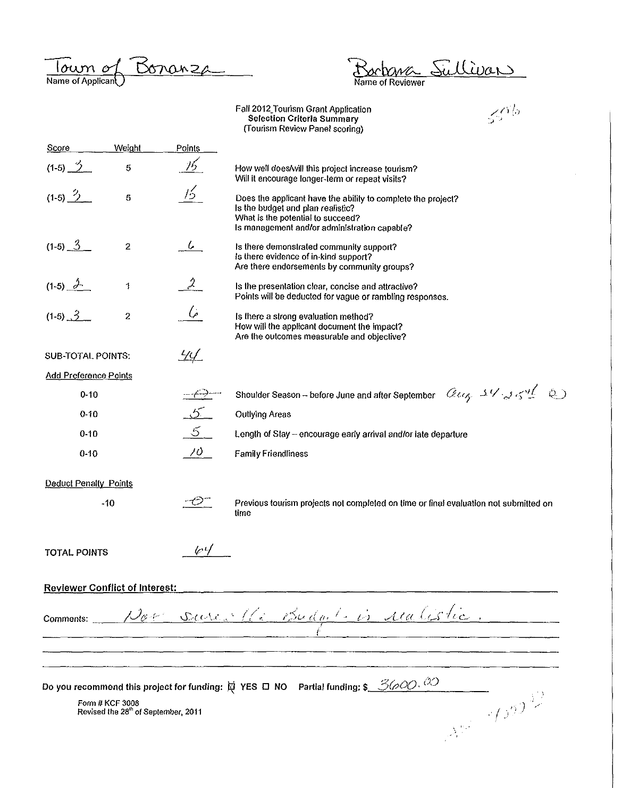Name of Applican<sup>o</sup> <u>Bonanza</u>

Bochana Sullivan

Faii2012\_Tourism Grant Application

|                                                                    |                  |                 | Fall 2012 Tourism Grant Application<br>$55\%$<br><b>Selection Criteria Summary</b><br>(Tourism Review Panel scoring)                                                                   |
|--------------------------------------------------------------------|------------------|-----------------|----------------------------------------------------------------------------------------------------------------------------------------------------------------------------------------|
| <b>Score</b>                                                       | Weight           | Points          |                                                                                                                                                                                        |
| $(1-5)$ $\frac{3}{2}$                                              | 5                | <u>16</u>       | How well does/will this project increase tourism?<br>Will it encourage longer-term or repeat visits?                                                                                   |
| $(1-5)$ $\frac{?}{?}$                                              | $\sqrt{5}$       | 15              | Does the applicant have the ability to complete the project?<br>Is the budget and plan realistic?<br>What is the potential to succeed?<br>Is management and/or administration capable? |
| $(1-5)$ $3$                                                        | $\overline{c}$   | $\iota$         | Is there demonstrated community support?<br>Is there evidence of in-kind support?<br>Are there endorsements by community groups?                                                       |
| $(1-5)$ $2$                                                        | 1                | $\mathcal{Z}^-$ | Is the presentation clear, concise and attractive?<br>Points will be deducted for vague or rambling responses.                                                                         |
| $(1-5)$ $3$                                                        | $\boldsymbol{2}$ | ئىركى           | Is there a strong evaluation method?<br>How will the applicant document the impact?<br>Are the outcomes measurable and objective?                                                      |
| SUB-TOTAL POINTS:                                                  |                  | <u>44</u>       |                                                                                                                                                                                        |
| <b>Add Preference Points</b>                                       |                  |                 |                                                                                                                                                                                        |
| $0 - 10$                                                           |                  |                 | aug 14 254 2)<br>Shoulder Season - before June and after September                                                                                                                     |
| $0 - 10$                                                           |                  | $5-$            | <b>Outlying Areas</b>                                                                                                                                                                  |
| $0 - 10$                                                           |                  | 5               | Length of Stay - encourage early arrival and/or late departure                                                                                                                         |
| $0 - 10$                                                           |                  | $70 -$          | <b>Family Friendliness</b>                                                                                                                                                             |
| Deduct Penalty Points                                              |                  |                 |                                                                                                                                                                                        |
|                                                                    | $-10$            | ゼ               | Previous tourism projects not completed on time or final evaluation not submitted on<br>time                                                                                           |
| TOTAL POINTS                                                       |                  | $\sqrt{4}$      |                                                                                                                                                                                        |
| <b>Reviewer Conflict of Interest:</b>                              |                  |                 |                                                                                                                                                                                        |
|                                                                    |                  |                 | comments: Nov surce 16 Budget is realistic.                                                                                                                                            |
|                                                                    |                  |                 |                                                                                                                                                                                        |
|                                                                    |                  |                 | Do you recommend this project for funding: $\not\!\!\!\! \varphi$ YES $\Box$ NO Partial funding: \$ 3600.                                                                              |
| Form # KCF 3008<br>Revised the 28 <sup>th</sup> of September, 2011 |                  |                 | $A^{(1)}$ 4590                                                                                                                                                                         |
|                                                                    |                  |                 |                                                                                                                                                                                        |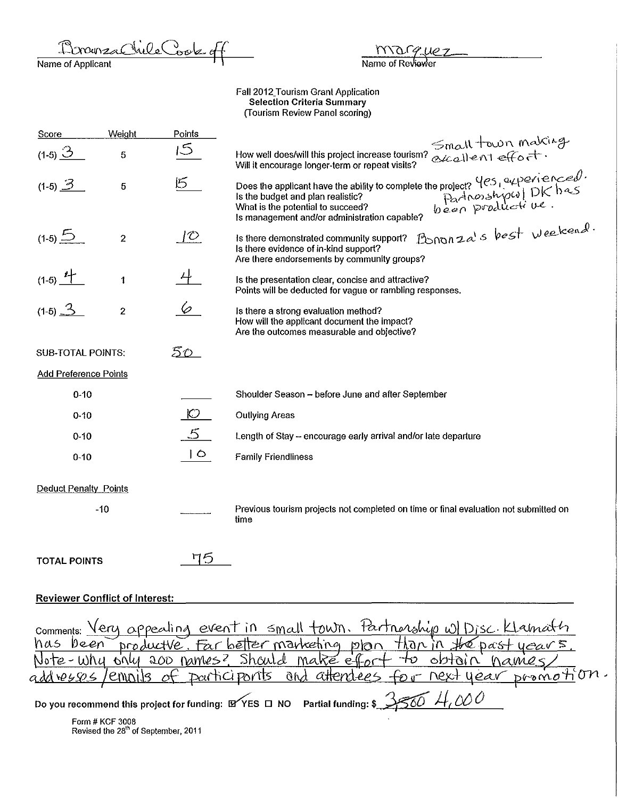RonneacVilleCook of

 $\overline{MN}$ Name of Reviewer

Faii2012\_Tourism Grant Application Selection Criteria Summary (Tourism Review Panel scoring)

| Score                             | Weight                                | Points         |                                                                                                                                                                                                                                                                   |
|-----------------------------------|---------------------------------------|----------------|-------------------------------------------------------------------------------------------------------------------------------------------------------------------------------------------------------------------------------------------------------------------|
| $(1-5)$ $\frac{3}{2}$             | 5                                     | 15             | Small town making<br>How well does/will this project increase tourism?<br>Will it encourage longer-term or repeat visits?                                                                                                                                         |
| $(1-5)$ $\overline{3}$            | 5                                     | $\mathfrak{G}$ | Does the applicant have the ability to complete the project? $\frac{4e_5}{24}$ experienced.<br>Is the budget and plan realistic?<br>What is the potential to succeed?<br>Is management and/or administration canable?<br>Is management and/or                     |
| $(1-5)$ $\frac{5}{2}$             | $\boldsymbol{2}$                      | $\mathcal{O}$  | Bononza's best weekend.<br>Is there demonstrated community support?<br>Is there evidence of in-kind support?<br>Are there endorsements by community groups?                                                                                                       |
| $(1-5)$ $4$                       | 1                                     |                | Is the presentation clear, concise and attractive?<br>Points will be deducted for vague or rambling responses.                                                                                                                                                    |
| $(1-5)$ $\frac{3}{5}$             | $\overline{2}$                        | 6              | Is there a strong evaluation method?<br>How will the applicant document the impact?<br>Are the outcomes measurable and objective?                                                                                                                                 |
| <b>SUB-TOTAL POINTS:</b>          |                                       | <u> 50  </u>   |                                                                                                                                                                                                                                                                   |
| <b>Add Preference Points</b>      |                                       |                |                                                                                                                                                                                                                                                                   |
| $0 - 10$                          |                                       |                | Shoulder Season - before June and after September                                                                                                                                                                                                                 |
| $0 - 10$                          |                                       | $\circ$        | <b>Outlying Areas</b>                                                                                                                                                                                                                                             |
| $0 - 10$                          |                                       | 5              | Length of Stay - encourage early arrival and/or late departure                                                                                                                                                                                                    |
| $0 - 10$                          |                                       | $\circ$        | <b>Family Friendliness</b>                                                                                                                                                                                                                                        |
| <b>Deduct Penalty Points</b>      |                                       |                |                                                                                                                                                                                                                                                                   |
|                                   | $-10$                                 |                | Previous tourism projects not completed on time or final evaluation not submitted on<br>time                                                                                                                                                                      |
| <b>TOTAL POINTS</b>               |                                       | 75             |                                                                                                                                                                                                                                                                   |
|                                   | <b>Reviewer Conflict of Interest:</b> |                |                                                                                                                                                                                                                                                                   |
| Comments: $\text{Very } \alpha$ F | /emoils                               |                | <u>pealing event in small town. Fartnarship w/Disc. Klama</u><br>has been productve. Far better marketing plan than in the past<br>Note-why only 200 names? Should make effor<br>ORHDI U<br><u>vext year promoti</u> on.<br><u>participants and attendees for</u> |
|                                   |                                       |                | Do you recommend this project for funding: LYYES O NO Partial funding: \$                                                                                                                                                                                         |
|                                   | <b>CARAL # IZOF 9000</b>              |                |                                                                                                                                                                                                                                                                   |

Form# KCF 3008 **Revised the 28th of September, 2011**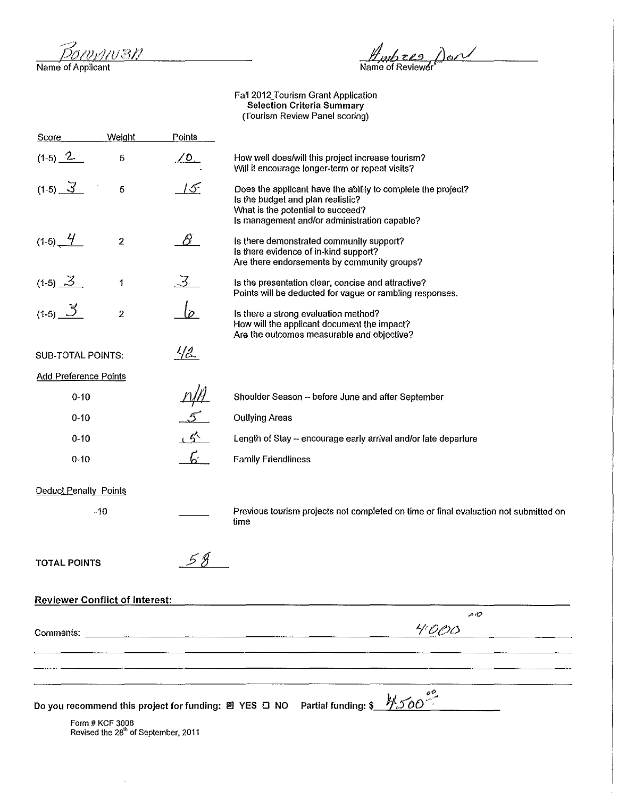<u> 4102P</u>

 $\hat{\mathcal{A}}$ 

Name of Applicant

 $\n *H*mbzes$   $\rho_{\rm on}$ <br>Name of Reviewer

Faii2012\_Tourism Grant Application Selection Criteria Summary {Tourism Review Panel scoring)

 $\overline{\phantom{a}}$ 

| Score                                                                                                                                                                                                                          | Weight                                          | <b>Points</b>                             |                                                                                                                                                                                        |
|--------------------------------------------------------------------------------------------------------------------------------------------------------------------------------------------------------------------------------|-------------------------------------------------|-------------------------------------------|----------------------------------------------------------------------------------------------------------------------------------------------------------------------------------------|
| $(1-5)$ $2-$                                                                                                                                                                                                                   | 5                                               | $\angle 0$ .                              | How well does/will this project increase tourism?<br>Will it encourage longer-term or repeat visits?                                                                                   |
| $(1-5)$ $3$                                                                                                                                                                                                                    | $\sqrt{5}$                                      | 15 <sup>°</sup>                           | Does the applicant have the ability to complete the project?<br>Is the budget and plan realistic?<br>What is the potential to succeed?<br>Is management and/or administration capable? |
| $(1-5)$ $4$                                                                                                                                                                                                                    | $\boldsymbol{2}$                                | -8                                        | Is there demonstrated community support?<br>Is there evidence of in-kind support?<br>Are there endorsements by community groups?                                                       |
| $(1-5)$ $3$                                                                                                                                                                                                                    | $\mathfrak t$                                   | 3.                                        | Is the presentation clear, concise and attractive?<br>Points will be deducted for vague or rambling responses.                                                                         |
| (1-5) $\frac{3}{2}$                                                                                                                                                                                                            | $\overline{2}$                                  | $\overline{\rho}$                         | Is there a strong evaluation method?<br>How will the applicant document the impact?<br>Are the outcomes measurable and objective?                                                      |
| <b>SUB-TOTAL POINTS:</b>                                                                                                                                                                                                       |                                                 | <u>42.</u>                                |                                                                                                                                                                                        |
| <b>Add Preference Points</b>                                                                                                                                                                                                   |                                                 |                                           |                                                                                                                                                                                        |
| $0 - 10$                                                                                                                                                                                                                       |                                                 |                                           | Shoulder Season -- before June and after September                                                                                                                                     |
| $0-10$                                                                                                                                                                                                                         |                                                 | $\mathcal{L}^{\mathcal{P}^{\mathcal{A}}}$ | <b>Outlying Areas</b>                                                                                                                                                                  |
| $0 - 10$                                                                                                                                                                                                                       |                                                 | $\mathcal{L}$                             | Length of Stay - encourage early arrival and/or late departure                                                                                                                         |
| $0 - 10$                                                                                                                                                                                                                       | $\mathbf{r}$                                    |                                           | <b>Family Friendliness</b>                                                                                                                                                             |
| Deduct Penalty Points                                                                                                                                                                                                          |                                                 |                                           |                                                                                                                                                                                        |
|                                                                                                                                                                                                                                | $-10$                                           |                                           | Previous tourism projects not completed on time or final evaluation not submitted on<br>time                                                                                           |
| <b>TOTAL POINTS</b>                                                                                                                                                                                                            |                                                 |                                           |                                                                                                                                                                                        |
|                                                                                                                                                                                                                                | <b>Reviewer Conflict of Interest:</b>           |                                           |                                                                                                                                                                                        |
|                                                                                                                                                                                                                                |                                                 |                                           | $\rho$ R)                                                                                                                                                                              |
| Comments: Comments: Comments: Comments: Comments: Comments: Comments: Comments: Comments: Comments: Comments: Comments: Comments: Comments: Comments: Comments: Comments: Comments: Comments: Comments: Comments: Comments: Co |                                                 |                                           | 4000                                                                                                                                                                                   |
|                                                                                                                                                                                                                                |                                                 |                                           |                                                                                                                                                                                        |
|                                                                                                                                                                                                                                |                                                 |                                           |                                                                                                                                                                                        |
|                                                                                                                                                                                                                                |                                                 |                                           | Do you recommend this project for funding: 國 YES □ NO  Partial funding: \$                                                                                                             |
|                                                                                                                                                                                                                                | Form # KCF 3008                                 |                                           |                                                                                                                                                                                        |
|                                                                                                                                                                                                                                | Revised the 28 <sup>th</sup> of September, 2011 |                                           |                                                                                                                                                                                        |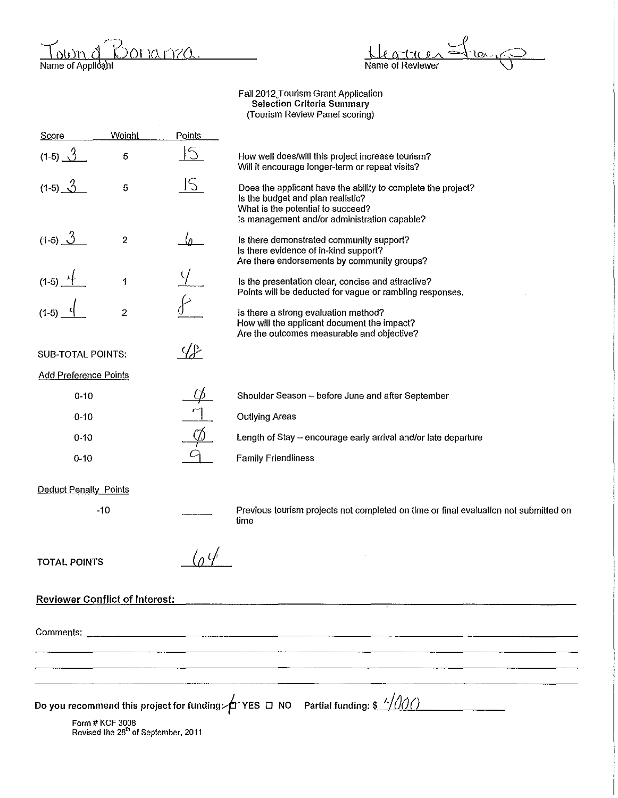Name of Applicant <u>Bona nza</u>

 $\frac{10x}{10}$ ttu  $\boldsymbol{\theta}$ Name of Reviewer

Faii2012\_Tourism Grant Application Selection Criteria Summary (Tourism Review Panel scoring)

| <b>Score</b>                          | Weight                                                             | Points               |                                                                                                                                                                                        |  |
|---------------------------------------|--------------------------------------------------------------------|----------------------|----------------------------------------------------------------------------------------------------------------------------------------------------------------------------------------|--|
| $(1-5)$ $\hat{3}$                     | 5                                                                  | <u> 15</u>           | How well does/will this project increase tourism?<br>Will it encourage longer-term or repeat visits?                                                                                   |  |
| $(1-5)$ $\bigcirc$                    | 5                                                                  | S                    | Does the applicant have the ability to complete the project?<br>Is the budget and plan realistic?<br>What is the potential to succeed?<br>is management and/or administration capable? |  |
| $(1-5)$ $\frac{3}{2}$                 | $\overline{2}$                                                     |                      | Is there demonstrated community support?<br>Is there evidence of in-kind support?<br>Are there endorsements by community groups?                                                       |  |
| $(1-5)$ $-1$                          | $\ddagger$                                                         |                      | Is the presentation clear, concise and attractive?<br>Points will be deducted for vague or rambling responses.                                                                         |  |
| $(1-5)$                               | $\overline{2}$                                                     |                      | Is there a strong evaluation method?<br>How will the applicant document the impact?<br>Are the outcomes measurable and objective?                                                      |  |
| SUB-TOTAL POINTS:                     |                                                                    | $\sqrt{\mathcal{L}}$ |                                                                                                                                                                                        |  |
| <b>Add Preference Points</b>          |                                                                    |                      |                                                                                                                                                                                        |  |
| $0 - 10$                              |                                                                    |                      | Shoulder Season - before June and after September                                                                                                                                      |  |
| $0 - 10$                              |                                                                    |                      | <b>Outlying Areas</b>                                                                                                                                                                  |  |
| $0 - 10$                              |                                                                    |                      | Length of Stay - encourage early arrival and/or late departure                                                                                                                         |  |
| $0 - 10$                              |                                                                    |                      | <b>Family Friendliness</b>                                                                                                                                                             |  |
| <b>Deduct Penalty Points</b>          |                                                                    |                      |                                                                                                                                                                                        |  |
|                                       | -10                                                                |                      | Previous tourism projects not completed on time or final evaluation not submitted on<br>time                                                                                           |  |
| <b>TOTAL POINTS</b>                   |                                                                    |                      |                                                                                                                                                                                        |  |
| <b>Reviewer Conflict of Interest:</b> |                                                                    |                      |                                                                                                                                                                                        |  |
|                                       |                                                                    |                      |                                                                                                                                                                                        |  |
|                                       |                                                                    |                      |                                                                                                                                                                                        |  |
|                                       |                                                                    |                      |                                                                                                                                                                                        |  |
|                                       |                                                                    |                      |                                                                                                                                                                                        |  |
|                                       | Form # KCF 3008<br>Revised the 28 <sup>th</sup> of September, 2011 |                      | Do you recommend this project for funding: $\sharp$ YES $\Box$ NO Partial funding: \$ $\frac{\angle}{\angle}$ (1)                                                                      |  |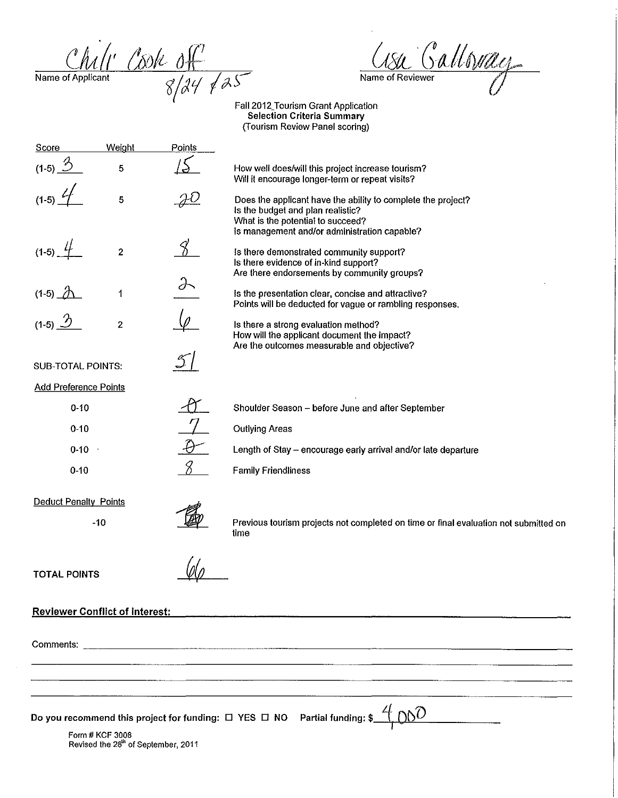$\frac{Chil' \cos k \delta f}{\frac{1}{8}}$ 

 $\sim$ 

<u>Lisa Galloway</u>

Fall 2012\_Tourism Grant Application Selection Criteria Summary (Tourism Review Panel scoring)

| Score                                 | Weight                                                 | Points    |                                                                                                                                                                                  |
|---------------------------------------|--------------------------------------------------------|-----------|----------------------------------------------------------------------------------------------------------------------------------------------------------------------------------|
| $(1-5)$ $\frac{3}{2}$                 | 5                                                      |           | How well does/will this project increase tourism?<br>Will it encourage longer-term or repeat visits?                                                                             |
|                                       | 5                                                      | <u>JU</u> | Does the applicant have the ability to complete the project?<br>Is the budget and plan realistic?<br>What is the potential to succeed?                                           |
| $(1-5)$ $4$                           | $\boldsymbol{2}$                                       |           | Is management and/or administration capable?<br>Is there demonstrated community support?<br>Is there evidence of in-kind support?<br>Are there endorsements by community groups? |
| $(1-5)$ $\Lambda$                     | $\ddagger$                                             |           | Is the presentation clear, concise and attractive?<br>Points will be deducted for vague or rambling responses.                                                                   |
| (1-5) $\mathcal{D}$                   | $\overline{2}$                                         |           | Is there a strong evaluation method?<br>How will the applicant document the impact?<br>Are the outcomes measurable and objective?                                                |
| <b>SUB-TOTAL POINTS:</b>              |                                                        |           |                                                                                                                                                                                  |
| <b>Add Preference Points</b>          |                                                        |           |                                                                                                                                                                                  |
| $0 - 10$                              |                                                        |           | Shoulder Season - before June and after September                                                                                                                                |
| $0 - 10$                              |                                                        |           | <b>Outlying Areas</b>                                                                                                                                                            |
| $0-10$                                |                                                        |           | Length of Stay - encourage early arrival and/or late departure                                                                                                                   |
| $0 - 10$                              |                                                        |           | <b>Family Friendliness</b>                                                                                                                                                       |
| <b>Deduct Penalty Points</b>          |                                                        |           |                                                                                                                                                                                  |
|                                       | $-10$                                                  |           | Previous tourism projects not completed on time or final evaluation not submitted on<br>time                                                                                     |
| <b>TOTAL POINTS</b>                   |                                                        |           |                                                                                                                                                                                  |
| <b>Reviewer Conflict of Interest:</b> |                                                        |           |                                                                                                                                                                                  |
|                                       |                                                        |           |                                                                                                                                                                                  |
|                                       |                                                        |           |                                                                                                                                                                                  |
|                                       |                                                        |           | Do you recommend this project for funding: $\Box$ YES $\Box$ NO Partial funding: \$                                                                                              |
|                                       | Form # KCF 3008<br>Revised the 28th of September, 2011 |           |                                                                                                                                                                                  |